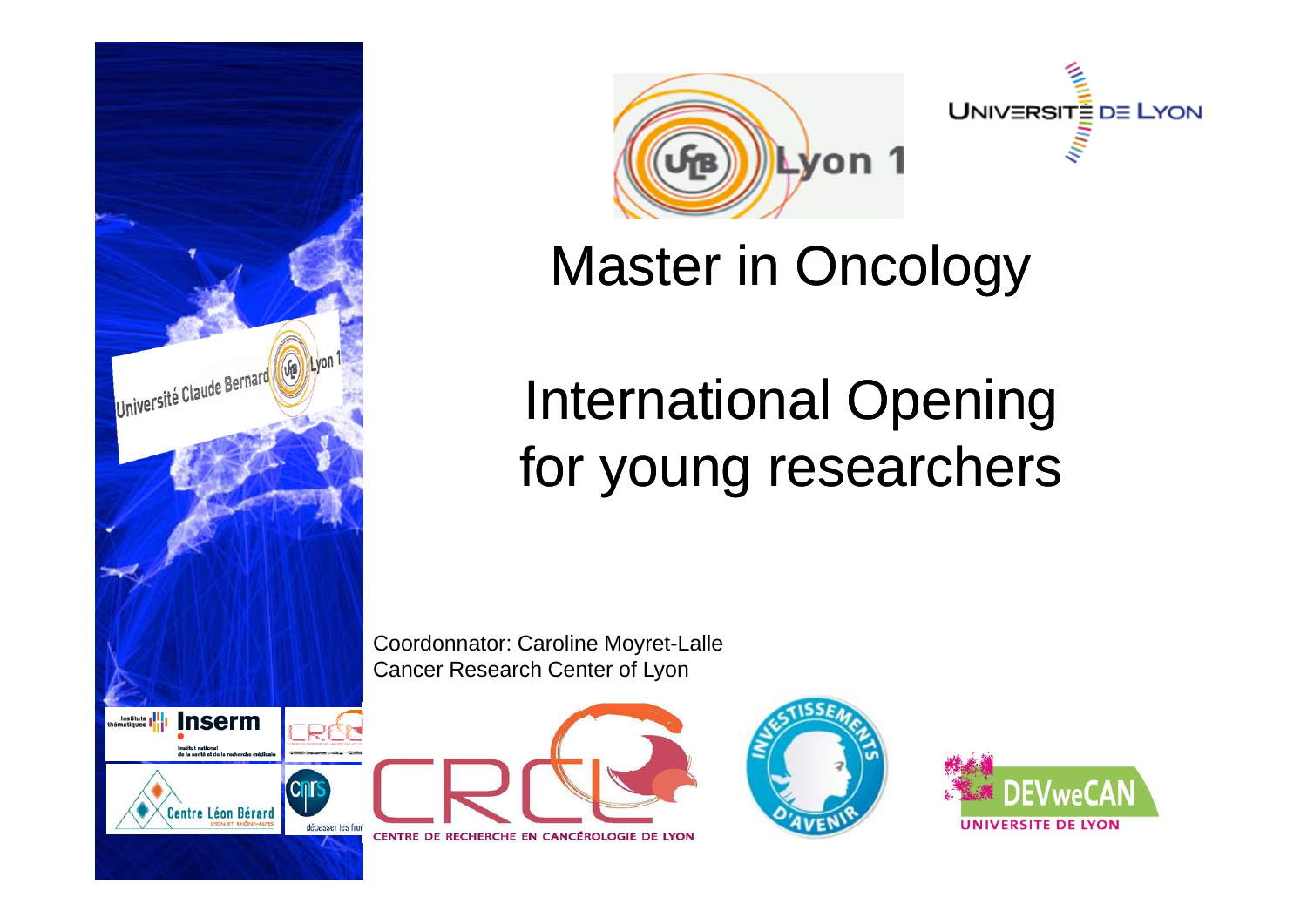





## Master in Oncology

## International Opening for young researchers

Coordonnator: Caroline Moyret-Lalle Cancer Research Center of Lyon





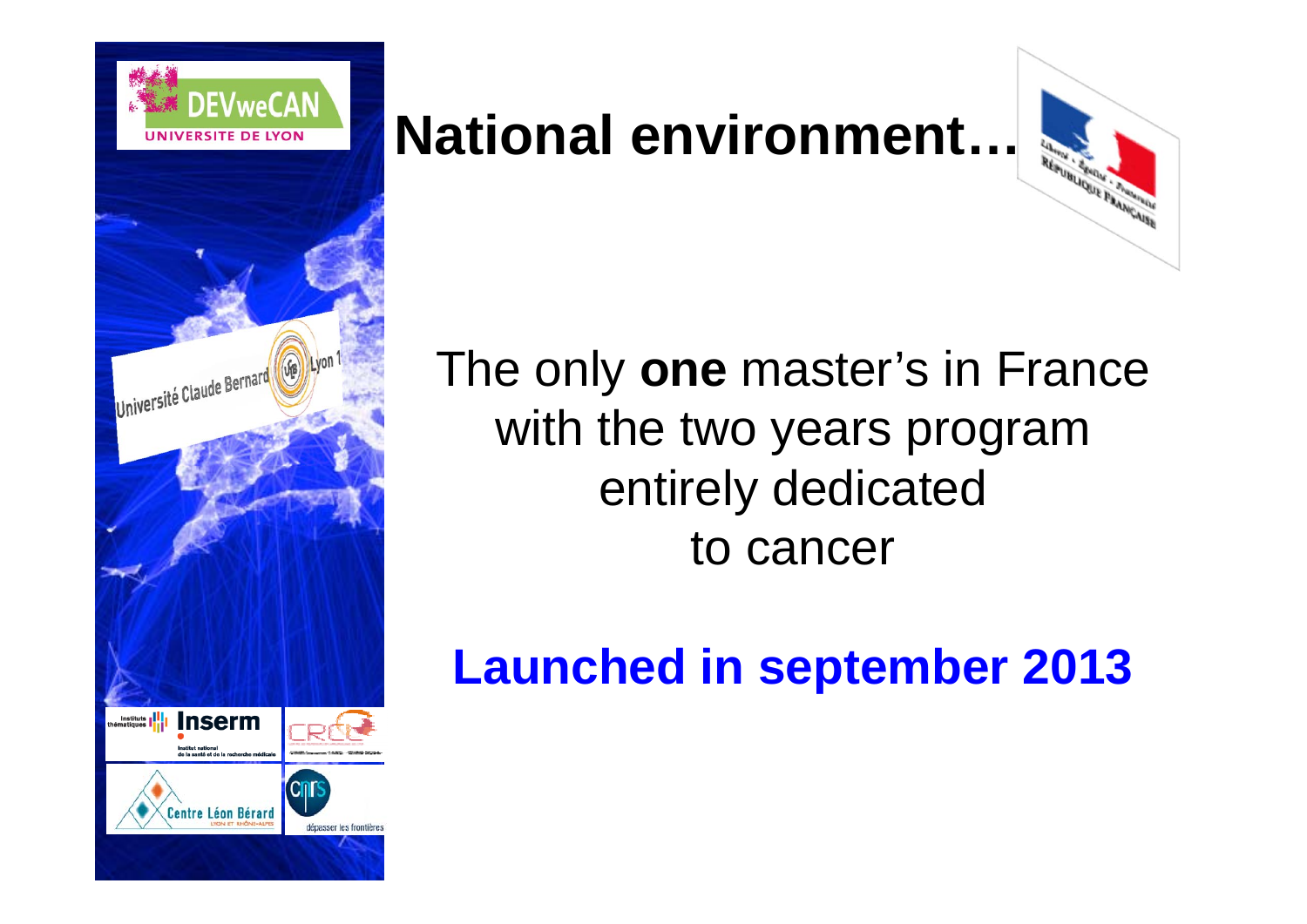

### **National environment…**

# The only **one** master's in France with the two years program entirely dedicated to cancer

### **Launched in september 2013**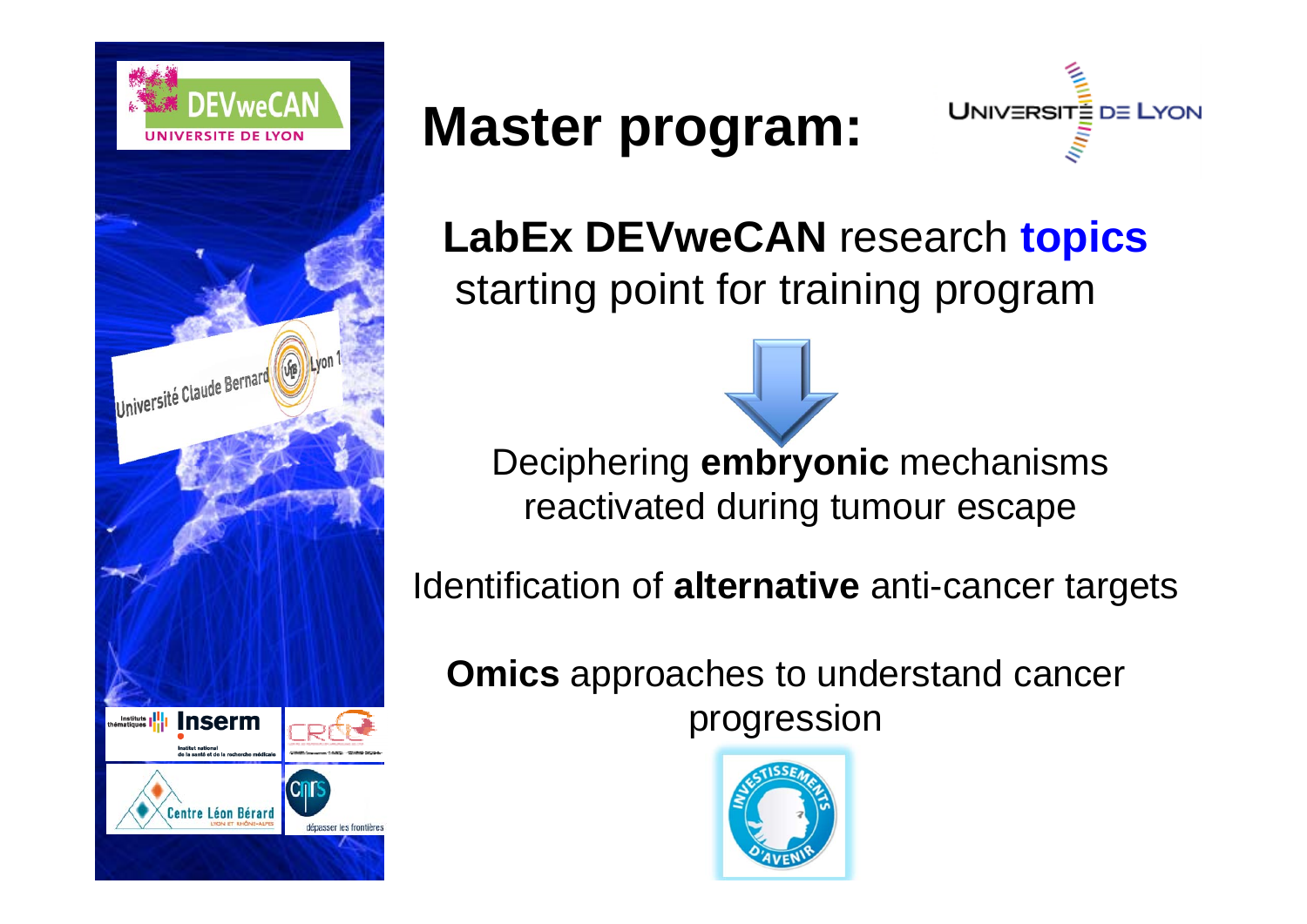

## **Master program:**



**LabEx DEVweCAN** research **topics** starting point for training program

Deciphering **embryonic** mechanisms reactivated during tumour escape

Identification of **alternative** anti-cancer targets

**Omics** approaches to understand cancer progression

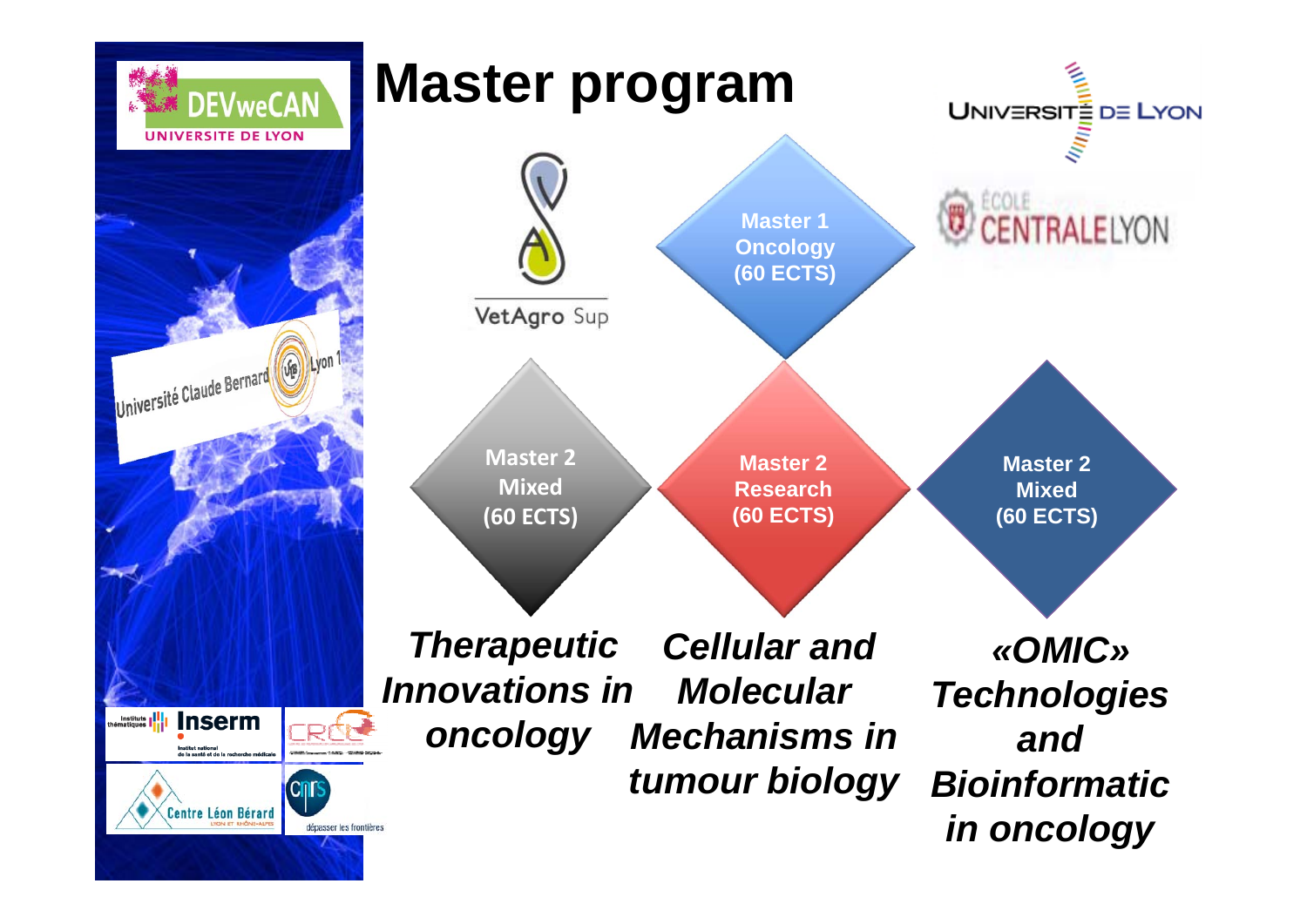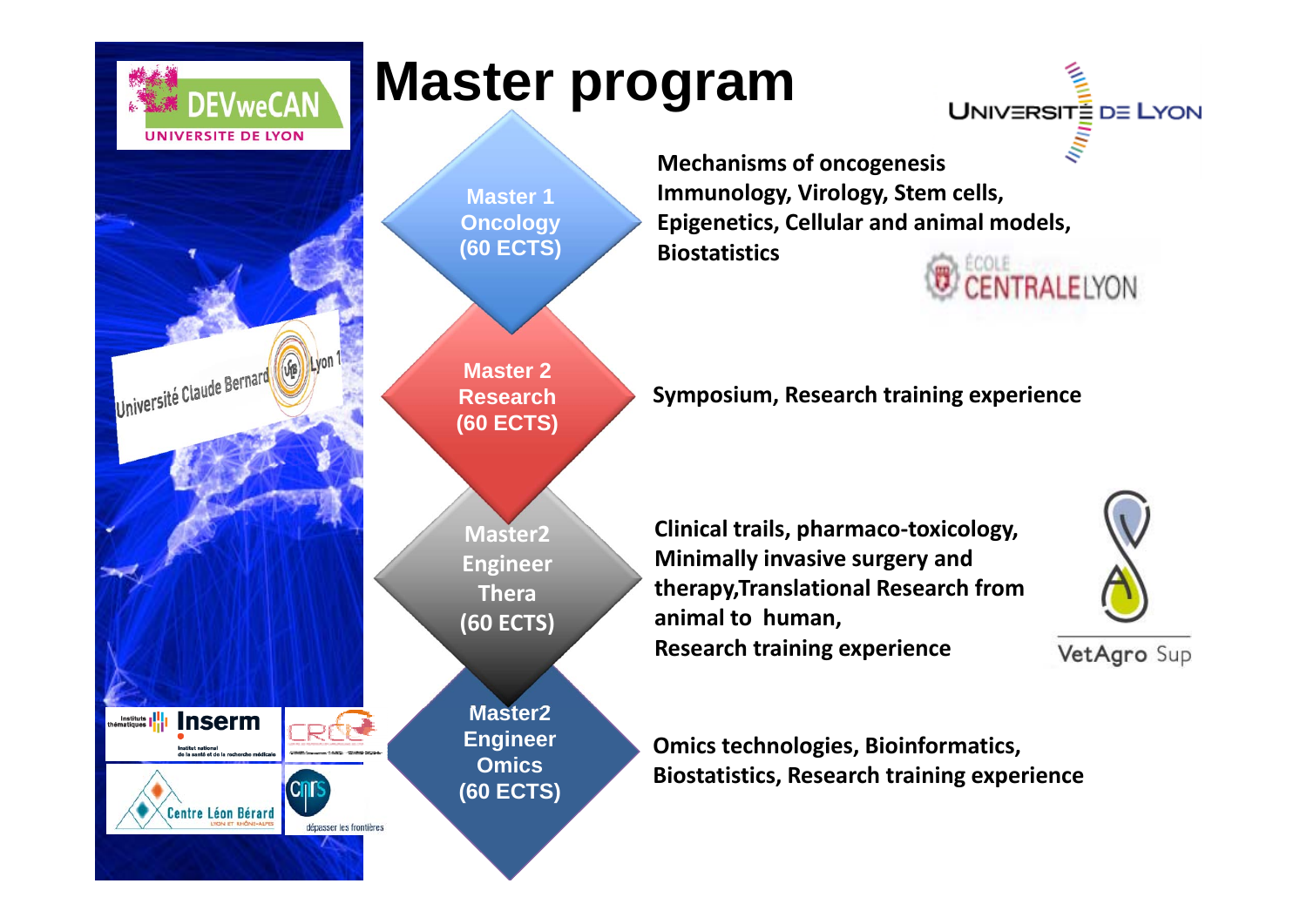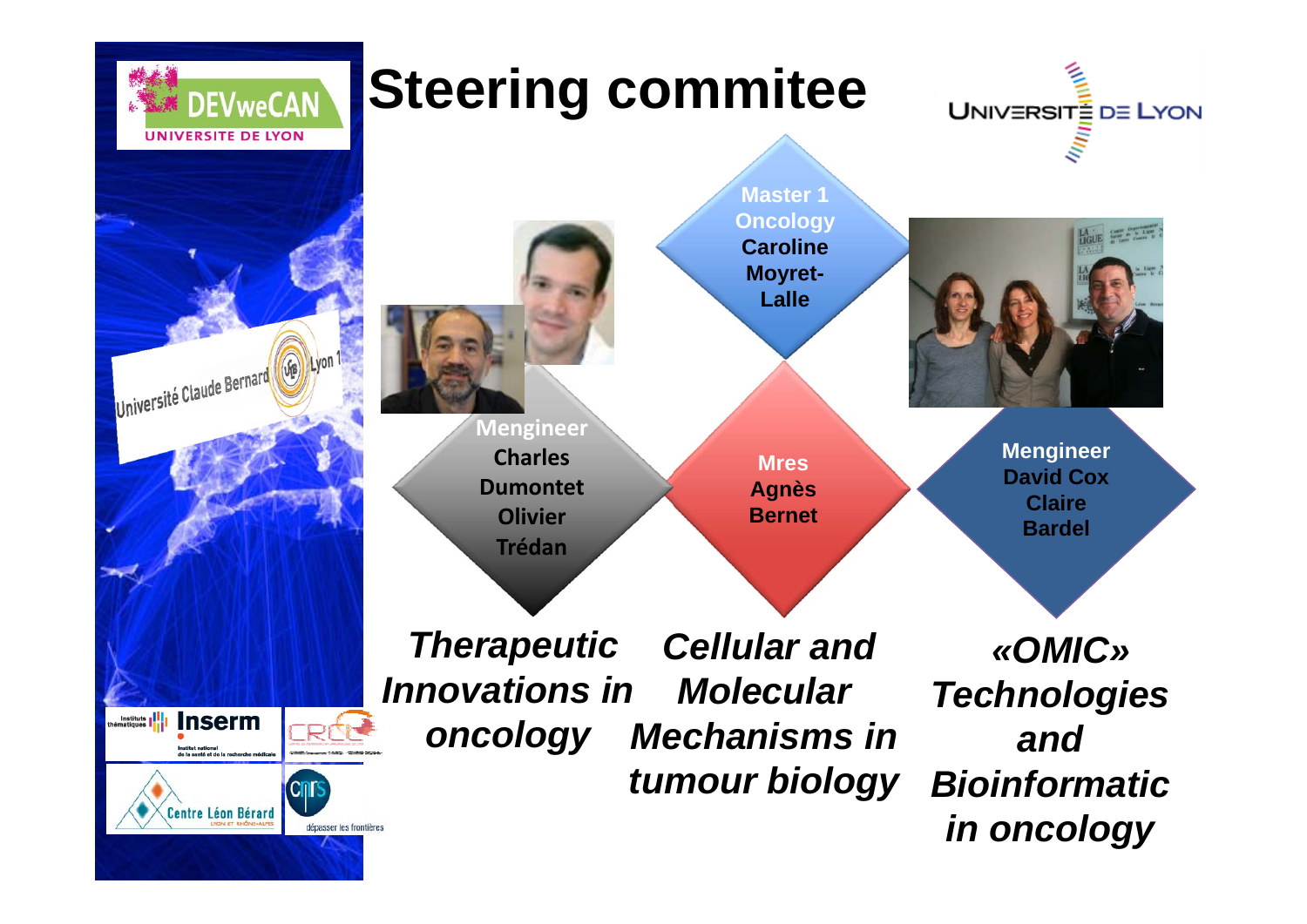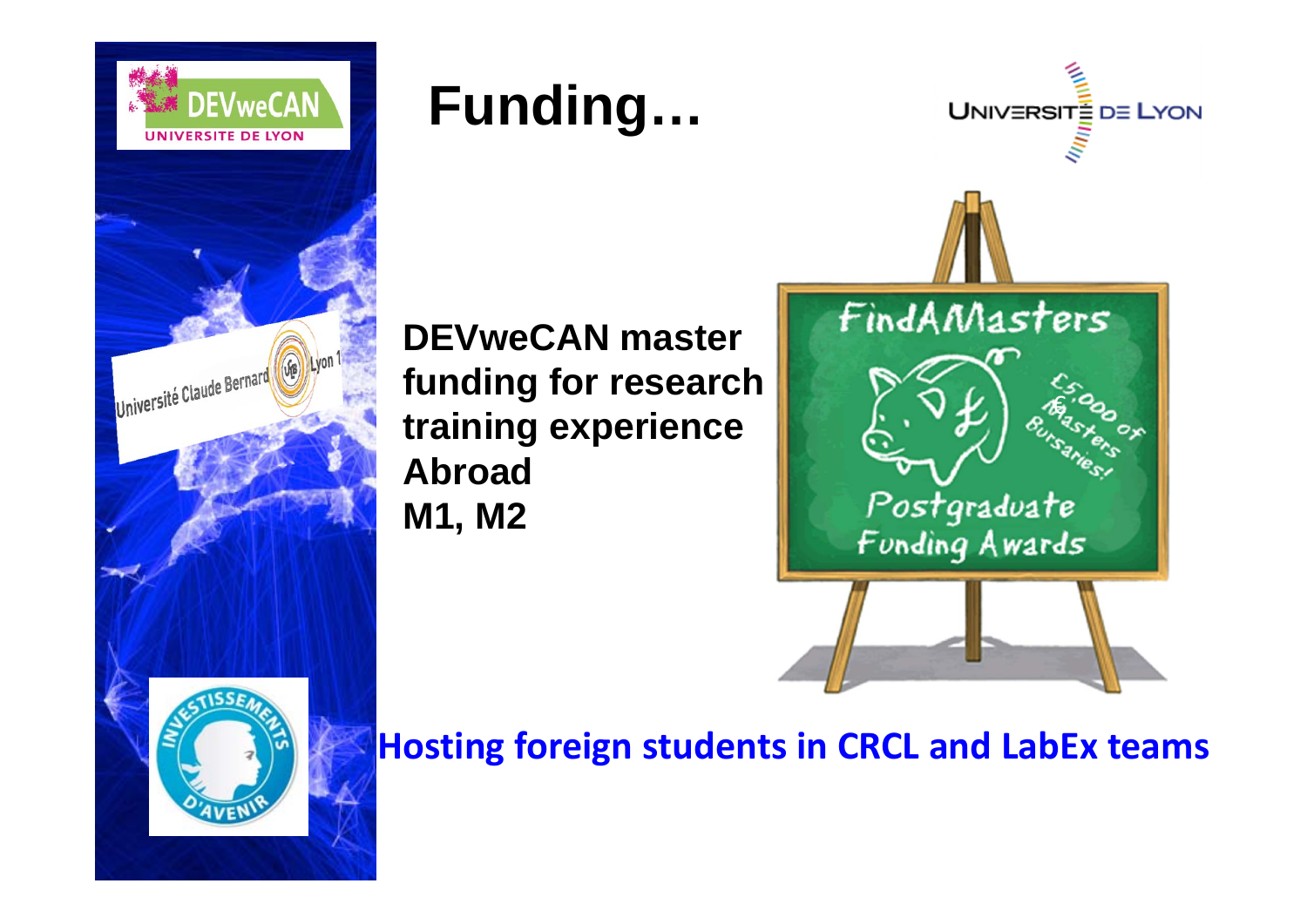

### **Funding…**



**DEVweCAN master funding for research training experience Abroad M1, M2**



**Hosting foreign students in CRCL and LabEx teams**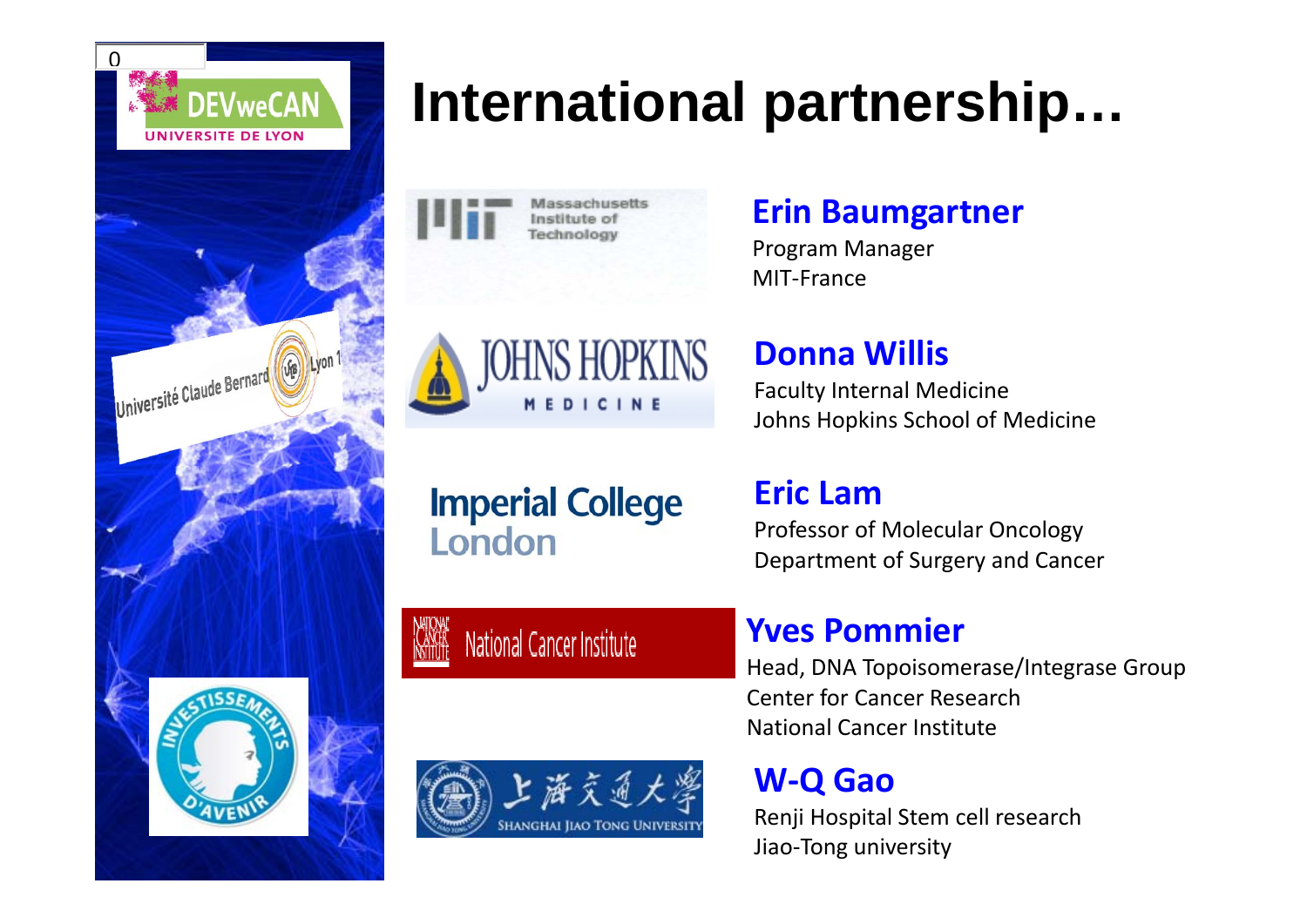

### **International partnership…**

Assachusatts Institute of Technology

#### **Erin Baumgartner**

Program Manager MIT‐France



#### **Donna Willis**

Faculty Internal Medicine Johns Hopkins School of Medicine

**Imperial College** London

National Cancer Institute

### **Eric Lam**

Professor of Molecular Oncology Department of Surgery and Cancer

### **Yves Pommier**

Head, DNA Topoisomerase/Integrase Group Center for Cancer ResearchNational Cancer Institute

#### **W ‐ Q Gao**

Renji Hospital Stem cell research Jiao‐Tong university